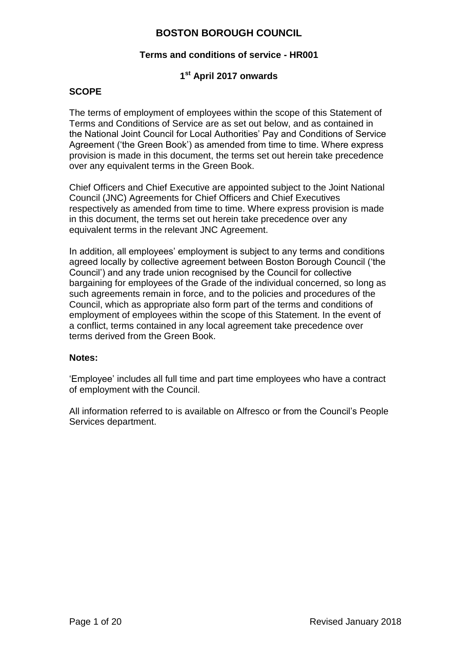#### **Terms and conditions of service - HR001**

### **1 st April 2017 onwards**

### **SCOPE**

The terms of employment of employees within the scope of this Statement of Terms and Conditions of Service are as set out below, and as contained in the National Joint Council for Local Authorities' Pay and Conditions of Service Agreement ('the Green Book') as amended from time to time. Where express provision is made in this document, the terms set out herein take precedence over any equivalent terms in the Green Book.

Chief Officers and Chief Executive are appointed subject to the Joint National Council (JNC) Agreements for Chief Officers and Chief Executives respectively as amended from time to time. Where express provision is made in this document, the terms set out herein take precedence over any equivalent terms in the relevant JNC Agreement.

In addition, all employees' employment is subject to any terms and conditions agreed locally by collective agreement between Boston Borough Council ('the Council') and any trade union recognised by the Council for collective bargaining for employees of the Grade of the individual concerned, so long as such agreements remain in force, and to the policies and procedures of the Council, which as appropriate also form part of the terms and conditions of employment of employees within the scope of this Statement. In the event of a conflict, terms contained in any local agreement take precedence over terms derived from the Green Book.

#### **Notes:**

'Employee' includes all full time and part time employees who have a contract of employment with the Council.

All information referred to is available on Alfresco or from the Council's People Services department.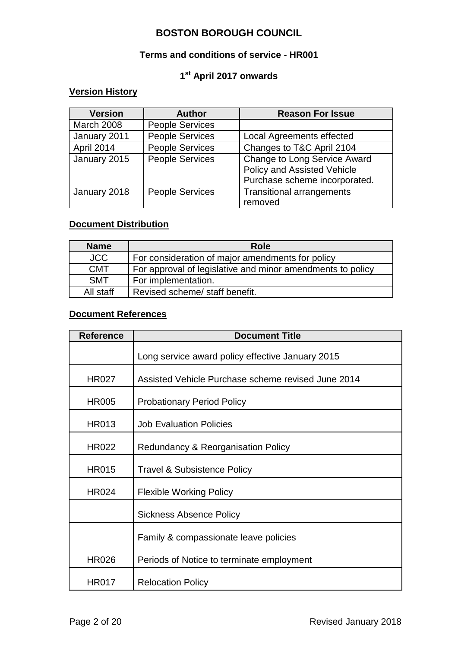#### **Terms and conditions of service - HR001**

### **1 st April 2017 onwards**

# **Version History**

| <b>Version</b>    | <b>Author</b>          | <b>Reason For Issue</b>                                                                             |
|-------------------|------------------------|-----------------------------------------------------------------------------------------------------|
| <b>March 2008</b> | <b>People Services</b> |                                                                                                     |
| January 2011      | <b>People Services</b> | Local Agreements effected                                                                           |
| April 2014        | People Services        | Changes to T&C April 2104                                                                           |
| January 2015      | <b>People Services</b> | <b>Change to Long Service Award</b><br>Policy and Assisted Vehicle<br>Purchase scheme incorporated. |
| January 2018      | <b>People Services</b> | <b>Transitional arrangements</b><br>removed                                                         |

### **Document Distribution**

| <b>Name</b> | Role                                                       |
|-------------|------------------------------------------------------------|
| <b>JCC</b>  | For consideration of major amendments for policy           |
| <b>CMT</b>  | For approval of legislative and minor amendments to policy |
| <b>SMT</b>  | For implementation.                                        |
| All staff   | Revised scheme/ staff benefit.                             |

### **Document References**

| <b>Reference</b> | <b>Document Title</b>                              |  |
|------------------|----------------------------------------------------|--|
|                  | Long service award policy effective January 2015   |  |
| <b>HR027</b>     | Assisted Vehicle Purchase scheme revised June 2014 |  |
| <b>HR005</b>     | <b>Probationary Period Policy</b>                  |  |
| <b>HR013</b>     | <b>Job Evaluation Policies</b>                     |  |
| <b>HR022</b>     | Redundancy & Reorganisation Policy                 |  |
| <b>HR015</b>     | <b>Travel &amp; Subsistence Policy</b>             |  |
| <b>HR024</b>     | <b>Flexible Working Policy</b>                     |  |
|                  | <b>Sickness Absence Policy</b>                     |  |
|                  | Family & compassionate leave policies              |  |
| <b>HR026</b>     | Periods of Notice to terminate employment          |  |
| <b>HR017</b>     | <b>Relocation Policy</b>                           |  |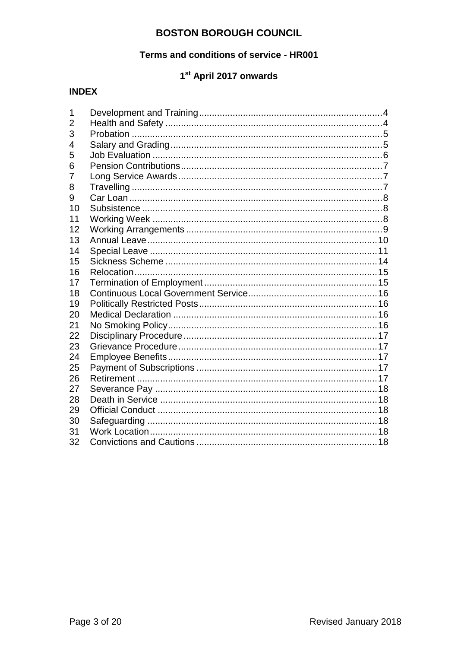### Terms and conditions of service - HR001

# 1st April 2017 onwards

# **INDEX**

| 1  |  |
|----|--|
| 2  |  |
| 3  |  |
| 4  |  |
| 5  |  |
| 6  |  |
| 7  |  |
| 8  |  |
| 9  |  |
| 10 |  |
| 11 |  |
| 12 |  |
| 13 |  |
| 14 |  |
| 15 |  |
| 16 |  |
| 17 |  |
| 18 |  |
| 19 |  |
| 20 |  |
| 21 |  |
| 22 |  |
| 23 |  |
| 24 |  |
| 25 |  |
| 26 |  |
| 27 |  |
| 28 |  |
| 29 |  |
| 30 |  |
| 31 |  |
| 32 |  |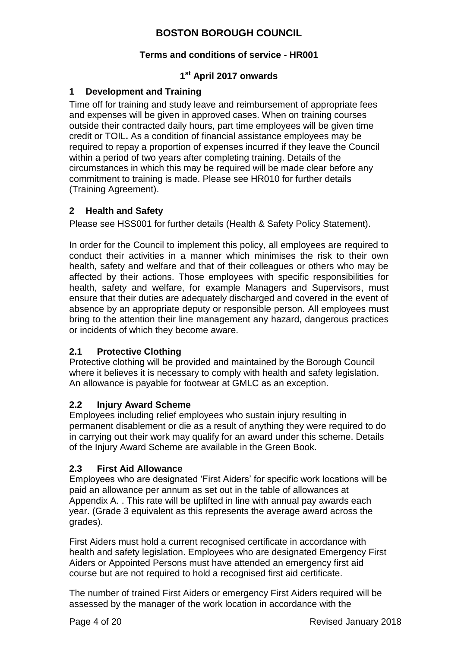### **Terms and conditions of service - HR001**

## **1 st April 2017 onwards**

### <span id="page-3-0"></span>**1 Development and Training**

Time off for training and study leave and reimbursement of appropriate fees and expenses will be given in approved cases. When on training courses outside their contracted daily hours, part time employees will be given time credit or TOIL**.** As a condition of financial assistance employees may be required to repay a proportion of expenses incurred if they leave the Council within a period of two years after completing training. Details of the circumstances in which this may be required will be made clear before any commitment to training is made. Please see HR010 for further details (Training Agreement).

### <span id="page-3-1"></span>**2 Health and Safety**

Please see HSS001 for further details (Health & Safety Policy Statement).

In order for the Council to implement this policy, all employees are required to conduct their activities in a manner which minimises the risk to their own health, safety and welfare and that of their colleagues or others who may be affected by their actions. Those employees with specific responsibilities for health, safety and welfare, for example Managers and Supervisors, must ensure that their duties are adequately discharged and covered in the event of absence by an appropriate deputy or responsible person. All employees must bring to the attention their line management any hazard, dangerous practices or incidents of which they become aware.

### **2.1 Protective Clothing**

Protective clothing will be provided and maintained by the Borough Council where it believes it is necessary to comply with health and safety legislation. An allowance is payable for footwear at GMLC as an exception.

### **2.2 Injury Award Scheme**

Employees including relief employees who sustain injury resulting in permanent disablement or die as a result of anything they were required to do in carrying out their work may qualify for an award under this scheme. Details of the Injury Award Scheme are available in the Green Book.

### **2.3 First Aid Allowance**

Employees who are designated 'First Aiders' for specific work locations will be paid an allowance per annum as set out in the table of allowances at Appendix A. . This rate will be uplifted in line with annual pay awards each year. (Grade 3 equivalent as this represents the average award across the grades).

First Aiders must hold a current recognised certificate in accordance with health and safety legislation. Employees who are designated Emergency First Aiders or Appointed Persons must have attended an emergency first aid course but are not required to hold a recognised first aid certificate.

The number of trained First Aiders or emergency First Aiders required will be assessed by the manager of the work location in accordance with the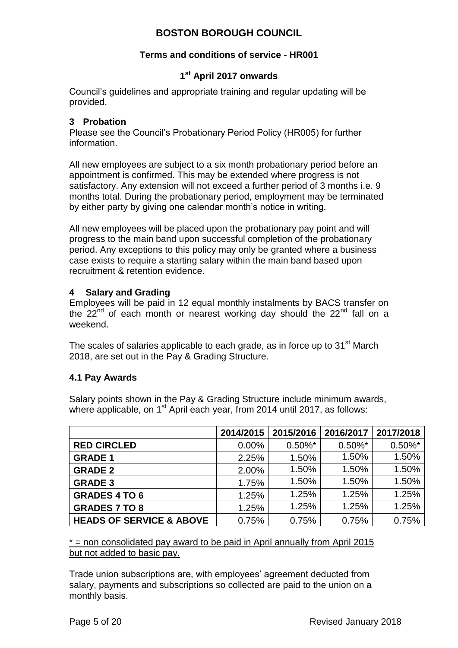### **Terms and conditions of service - HR001**

### **1 st April 2017 onwards**

Council's guidelines and appropriate training and regular updating will be provided.

#### <span id="page-4-0"></span>**3 Probation**

Please see the Council's Probationary Period Policy (HR005) for further information.

All new employees are subject to a six month probationary period before an appointment is confirmed. This may be extended where progress is not satisfactory. Any extension will not exceed a further period of 3 months i.e. 9 months total. During the probationary period, employment may be terminated by either party by giving one calendar month's notice in writing.

All new employees will be placed upon the probationary pay point and will progress to the main band upon successful completion of the probationary period. Any exceptions to this policy may only be granted where a business case exists to require a starting salary within the main band based upon recruitment & retention evidence.

#### <span id="page-4-1"></span>**4 Salary and Grading**

Employees will be paid in 12 equal monthly instalments by BACS transfer on the  $22^{nd}$  of each month or nearest working day should the  $22^{nd}$  fall on a weekend.

The scales of salaries applicable to each grade, as in force up to 31<sup>st</sup> March 2018, are set out in the Pay & Grading Structure.

#### **4.1 Pay Awards**

Salary points shown in the Pay & Grading Structure include minimum awards, where applicable, on 1<sup>st</sup> April each year, from 2014 until 2017, as follows:

|                                     | 2014/2015 | 2015/2016  | 2016/2017  | 2017/2018  |
|-------------------------------------|-----------|------------|------------|------------|
| <b>RED CIRCLED</b>                  | 0.00%     | $0.50\%$ * | $0.50\%$ * | $0.50\%$ * |
| <b>GRADE 1</b>                      | 2.25%     | 1.50%      | 1.50%      | 1.50%      |
| <b>GRADE 2</b>                      | 2.00%     | 1.50%      | 1.50%      | 1.50%      |
| <b>GRADE 3</b>                      | 1.75%     | 1.50%      | 1.50%      | 1.50%      |
| <b>GRADES 4 TO 6</b>                | 1.25%     | 1.25%      | 1.25%      | 1.25%      |
| <b>GRADES 7 TO 8</b>                | 1.25%     | 1.25%      | 1.25%      | 1.25%      |
| <b>HEADS OF SERVICE &amp; ABOVE</b> | 0.75%     | 0.75%      | 0.75%      | 0.75%      |

 $*$  = non consolidated pay award to be paid in April annually from April 2015 but not added to basic pay.

Trade union subscriptions are, with employees' agreement deducted from salary, payments and subscriptions so collected are paid to the union on a monthly basis.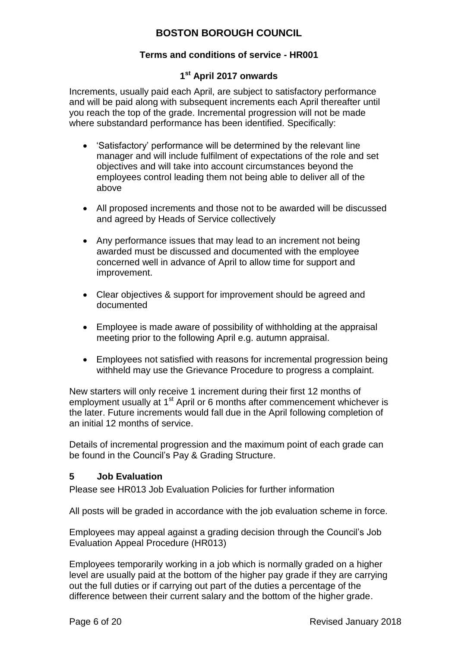### **Terms and conditions of service - HR001**

### **1 st April 2017 onwards**

Increments, usually paid each April, are subject to satisfactory performance and will be paid along with subsequent increments each April thereafter until you reach the top of the grade. Incremental progression will not be made where substandard performance has been identified. Specifically:

- 'Satisfactory' performance will be determined by the relevant line manager and will include fulfilment of expectations of the role and set objectives and will take into account circumstances beyond the employees control leading them not being able to deliver all of the above
- All proposed increments and those not to be awarded will be discussed and agreed by Heads of Service collectively
- Any performance issues that may lead to an increment not being awarded must be discussed and documented with the employee concerned well in advance of April to allow time for support and improvement.
- Clear objectives & support for improvement should be agreed and documented
- Employee is made aware of possibility of withholding at the appraisal meeting prior to the following April e.g. autumn appraisal.
- Employees not satisfied with reasons for incremental progression being withheld may use the Grievance Procedure to progress a complaint.

New starters will only receive 1 increment during their first 12 months of employment usually at 1<sup>st</sup> April or 6 months after commencement whichever is the later. Future increments would fall due in the April following completion of an initial 12 months of service.

Details of incremental progression and the maximum point of each grade can be found in the Council's Pay & Grading Structure.

### <span id="page-5-0"></span>**5 Job Evaluation**

Please see HR013 Job Evaluation Policies for further information

All posts will be graded in accordance with the job evaluation scheme in force.

Employees may appeal against a grading decision through the Council's Job Evaluation Appeal Procedure (HR013)

Employees temporarily working in a job which is normally graded on a higher level are usually paid at the bottom of the higher pay grade if they are carrying out the full duties or if carrying out part of the duties a percentage of the difference between their current salary and the bottom of the higher grade.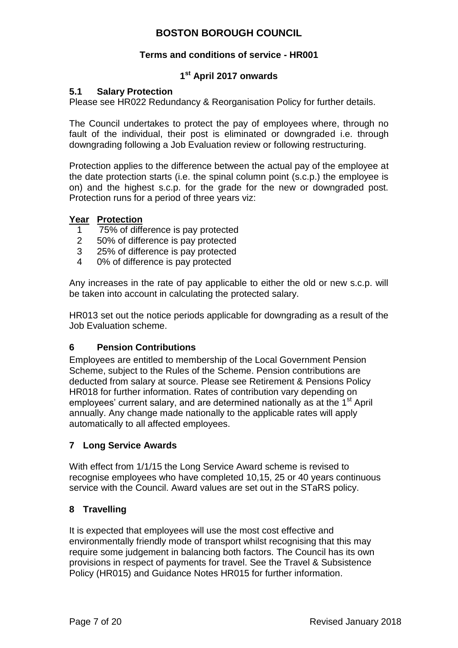### **Terms and conditions of service - HR001**

## **1 st April 2017 onwards**

### **5.1 Salary Protection**

Please see HR022 Redundancy & Reorganisation Policy for further details.

The Council undertakes to protect the pay of employees where, through no fault of the individual, their post is eliminated or downgraded i.e. through downgrading following a Job Evaluation review or following restructuring.

Protection applies to the difference between the actual pay of the employee at the date protection starts (i.e. the spinal column point (s.c.p.) the employee is on) and the highest s.c.p. for the grade for the new or downgraded post. Protection runs for a period of three years viz:

#### **Year Protection**

- 1 75% of difference is pay protected
- 2 50% of difference is pay protected
- 3 25% of difference is pay protected
- 4 0% of difference is pay protected

Any increases in the rate of pay applicable to either the old or new s.c.p. will be taken into account in calculating the protected salary.

HR013 set out the notice periods applicable for downgrading as a result of the Job Evaluation scheme.

### <span id="page-6-0"></span>**6 Pension Contributions**

Employees are entitled to membership of the Local Government Pension Scheme, subject to the Rules of the Scheme. Pension contributions are deducted from salary at source. Please see Retirement & Pensions Policy HR018 for further information. Rates of contribution vary depending on employees' current salary, and are determined nationally as at the 1<sup>st</sup> April annually. Any change made nationally to the applicable rates will apply automatically to all affected employees.

### <span id="page-6-1"></span>**7 Long Service Awards**

With effect from 1/1/15 the Long Service Award scheme is revised to recognise employees who have completed 10,15, 25 or 40 years continuous service with the Council. Award values are set out in the STaRS policy.

### <span id="page-6-2"></span>**8 Travelling**

It is expected that employees will use the most cost effective and environmentally friendly mode of transport whilst recognising that this may require some judgement in balancing both factors. The Council has its own provisions in respect of payments for travel. See the Travel & Subsistence Policy (HR015) and Guidance Notes HR015 for further information.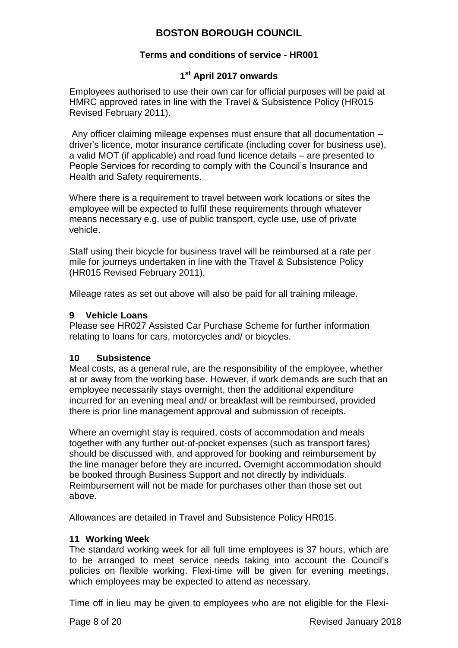### **Terms and conditions of service - HR001**

### **1 st April 2017 onwards**

Employees authorised to use their own car for official purposes will be paid at HMRC approved rates in line with the Travel & Subsistence Policy (HR015 Revised February 2011).

Any officer claiming mileage expenses must ensure that all documentation – driver's licence, motor insurance certificate (including cover for business use), a valid MOT (if applicable) and road fund licence details – are presented to People Services for recording to comply with the Council's Insurance and Health and Safety requirements.

Where there is a requirement to travel between work locations or sites the employee will be expected to fulfil these requirements through whatever means necessary e.g. use of public transport, cycle use, use of private vehicle.

Staff using their bicycle for business travel will be reimbursed at a rate per mile for journeys undertaken in line with the Travel & Subsistence Policy (HR015 Revised February 2011).

Mileage rates as set out above will also be paid for all training mileage.

#### <span id="page-7-0"></span>**9 Vehicle Loans**

Please see HR027 Assisted Car Purchase Scheme for further information relating to loans for cars, motorcycles and/ or bicycles.

#### <span id="page-7-1"></span>**10 Subsistence**

Meal costs, as a general rule, are the responsibility of the employee, whether at or away from the working base. However, if work demands are such that an employee necessarily stays overnight, then the additional expenditure incurred for an evening meal and/ or breakfast will be reimbursed, provided there is prior line management approval and submission of receipts.

Where an overnight stay is required, costs of accommodation and meals together with any further out-of-pocket expenses (such as transport fares) should be discussed with, and approved for booking and reimbursement by the line manager before they are incurred**.** Overnight accommodation should be booked through Business Support and not directly by individuals. Reimbursement will not be made for purchases other than those set out above.

Allowances are detailed in Travel and Subsistence Policy HR015.

#### <span id="page-7-2"></span>**11 Working Week**

The standard working week for all full time employees is 37 hours, which are to be arranged to meet service needs taking into account the Council's policies on flexible working. Flexi-time will be given for evening meetings, which employees may be expected to attend as necessary.

Time off in lieu may be given to employees who are not eligible for the Flexi-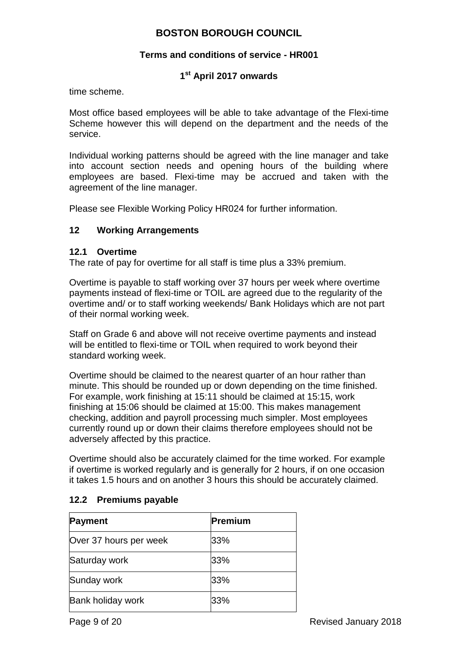#### **Terms and conditions of service - HR001**

### **1 st April 2017 onwards**

time scheme.

Most office based employees will be able to take advantage of the Flexi-time Scheme however this will depend on the department and the needs of the service.

Individual working patterns should be agreed with the line manager and take into account section needs and opening hours of the building where employees are based. Flexi-time may be accrued and taken with the agreement of the line manager.

Please see Flexible Working Policy HR024 for further information.

#### <span id="page-8-0"></span>**12 Working Arrangements**

#### **12.1 Overtime**

The rate of pay for overtime for all staff is time plus a 33% premium.

Overtime is payable to staff working over 37 hours per week where overtime payments instead of flexi-time or TOIL are agreed due to the regularity of the overtime and/ or to staff working weekends/ Bank Holidays which are not part of their normal working week.

Staff on Grade 6 and above will not receive overtime payments and instead will be entitled to flexi-time or TOIL when required to work beyond their standard working week.

Overtime should be claimed to the nearest quarter of an hour rather than minute. This should be rounded up or down depending on the time finished. For example, work finishing at 15:11 should be claimed at 15:15, work finishing at 15:06 should be claimed at 15:00. This makes management checking, addition and payroll processing much simpler. Most employees currently round up or down their claims therefore employees should not be adversely affected by this practice.

Overtime should also be accurately claimed for the time worked. For example if overtime is worked regularly and is generally for 2 hours, if on one occasion it takes 1.5 hours and on another 3 hours this should be accurately claimed.

#### **12.2 Premiums payable**

| <b>Payment</b>           | Premium |
|--------------------------|---------|
| Over 37 hours per week   | 33%     |
| Saturday work            | 33%     |
| Sunday work              | 33%     |
| <b>Bank holiday work</b> | 33%     |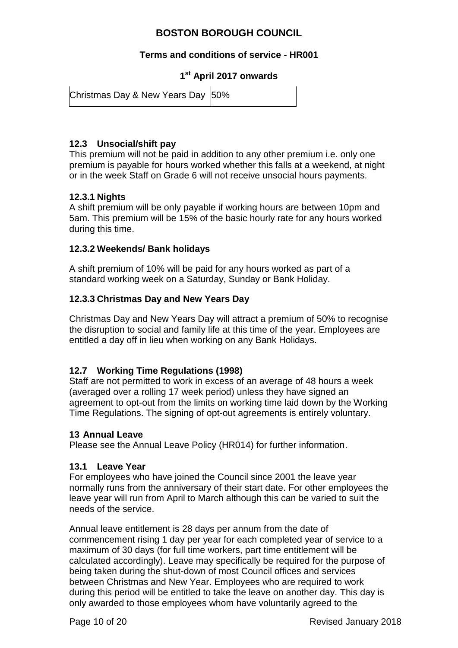#### **Terms and conditions of service - HR001**

**1 st April 2017 onwards**

| Christmas Day & New Years Day 50% |  |
|-----------------------------------|--|
|-----------------------------------|--|

### **12.3 Unsocial/shift pay**

This premium will not be paid in addition to any other premium i.e. only one premium is payable for hours worked whether this falls at a weekend, at night or in the week Staff on Grade 6 will not receive unsocial hours payments.

#### **12.3.1 Nights**

A shift premium will be only payable if working hours are between 10pm and 5am. This premium will be 15% of the basic hourly rate for any hours worked during this time.

#### **12.3.2 Weekends/ Bank holidays**

A shift premium of 10% will be paid for any hours worked as part of a standard working week on a Saturday, Sunday or Bank Holiday.

#### **12.3.3 Christmas Day and New Years Day**

Christmas Day and New Years Day will attract a premium of 50% to recognise the disruption to social and family life at this time of the year. Employees are entitled a day off in lieu when working on any Bank Holidays.

### **12.7 Working Time Regulations (1998)**

Staff are not permitted to work in excess of an average of 48 hours a week (averaged over a rolling 17 week period) unless they have signed an agreement to opt-out from the limits on working time laid down by the Working Time Regulations. The signing of opt-out agreements is entirely voluntary.

#### <span id="page-9-0"></span>**13 Annual Leave**

Please see the Annual Leave Policy (HR014) for further information.

#### **13.1 Leave Year**

For employees who have joined the Council since 2001 the leave year normally runs from the anniversary of their start date. For other employees the leave year will run from April to March although this can be varied to suit the needs of the service.

Annual leave entitlement is 28 days per annum from the date of commencement rising 1 day per year for each completed year of service to a maximum of 30 days (for full time workers, part time entitlement will be calculated accordingly). Leave may specifically be required for the purpose of being taken during the shut-down of most Council offices and services between Christmas and New Year. Employees who are required to work during this period will be entitled to take the leave on another day. This day is only awarded to those employees whom have voluntarily agreed to the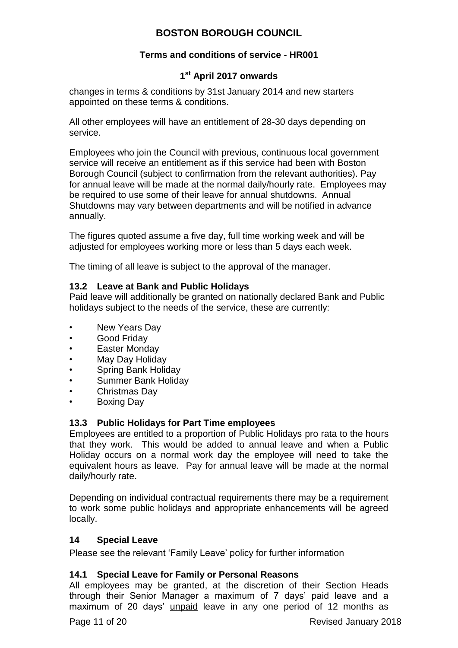### **Terms and conditions of service - HR001**

### **1 st April 2017 onwards**

changes in terms & conditions by 31st January 2014 and new starters appointed on these terms & conditions.

All other employees will have an entitlement of 28-30 days depending on service.

Employees who join the Council with previous, continuous local government service will receive an entitlement as if this service had been with Boston Borough Council (subject to confirmation from the relevant authorities). Pay for annual leave will be made at the normal daily/hourly rate. Employees may be required to use some of their leave for annual shutdowns. Annual Shutdowns may vary between departments and will be notified in advance annually.

The figures quoted assume a five day, full time working week and will be adjusted for employees working more or less than 5 days each week.

The timing of all leave is subject to the approval of the manager.

#### **13.2 Leave at Bank and Public Holidays**

Paid leave will additionally be granted on nationally declared Bank and Public holidays subject to the needs of the service, these are currently:

- New Years Day
- Good Friday
- **Easter Monday**
- May Day Holiday
- Spring Bank Holiday
- Summer Bank Holiday
- Christmas Day
- Boxing Day

#### **13.3 Public Holidays for Part Time employees**

Employees are entitled to a proportion of Public Holidays pro rata to the hours that they work. This would be added to annual leave and when a Public Holiday occurs on a normal work day the employee will need to take the equivalent hours as leave. Pay for annual leave will be made at the normal daily/hourly rate.

Depending on individual contractual requirements there may be a requirement to work some public holidays and appropriate enhancements will be agreed locally.

#### <span id="page-10-0"></span>**14 Special Leave**

Please see the relevant 'Family Leave' policy for further information

#### **14.1 Special Leave for Family or Personal Reasons**

All employees may be granted, at the discretion of their Section Heads through their Senior Manager a maximum of 7 days' paid leave and a maximum of 20 days' unpaid leave in any one period of 12 months as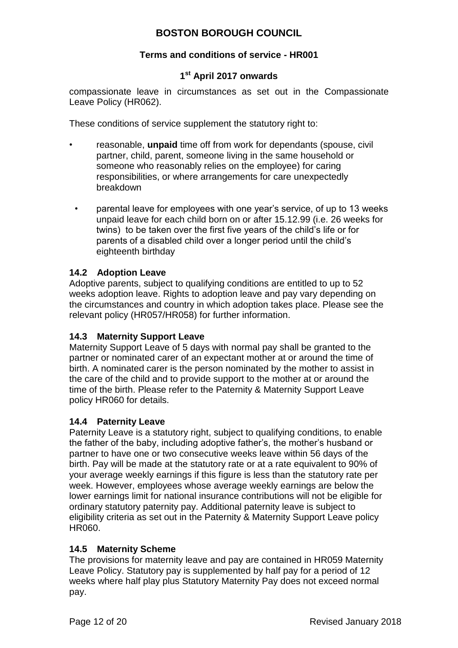### **Terms and conditions of service - HR001**

### **1 st April 2017 onwards**

compassionate leave in circumstances as set out in the Compassionate Leave Policy (HR062).

These conditions of service supplement the statutory right to:

- reasonable, **unpaid** time off from work for dependants (spouse, civil partner, child, parent, someone living in the same household or someone who reasonably relies on the employee) for caring responsibilities, or where arrangements for care unexpectedly breakdown
- parental leave for employees with one year's service, of up to 13 weeks unpaid leave for each child born on or after 15.12.99 (i.e. 26 weeks for twins) to be taken over the first five years of the child's life or for parents of a disabled child over a longer period until the child's eighteenth birthday

### **14.2 Adoption Leave**

Adoptive parents, subject to qualifying conditions are entitled to up to 52 weeks adoption leave. Rights to adoption leave and pay vary depending on the circumstances and country in which adoption takes place. Please see the relevant policy (HR057/HR058) for further information.

### **14.3 Maternity Support Leave**

Maternity Support Leave of 5 days with normal pay shall be granted to the partner or nominated carer of an expectant mother at or around the time of birth. A nominated carer is the person nominated by the mother to assist in the care of the child and to provide support to the mother at or around the time of the birth. Please refer to the Paternity & Maternity Support Leave policy HR060 for details.

### **14.4 Paternity Leave**

Paternity Leave is a statutory right, subject to qualifying conditions, to enable the father of the baby, including adoptive father's, the mother's husband or partner to have one or two consecutive weeks leave within 56 days of the birth. Pay will be made at the statutory rate or at a rate equivalent to 90% of your average weekly earnings if this figure is less than the statutory rate per week. However, employees whose average weekly earnings are below the lower earnings limit for national insurance contributions will not be eligible for ordinary statutory paternity pay. Additional paternity leave is subject to eligibility criteria as set out in the Paternity & Maternity Support Leave policy HR060.

### **14.5 Maternity Scheme**

The provisions for maternity leave and pay are contained in HR059 Maternity Leave Policy. Statutory pay is supplemented by half pay for a period of 12 weeks where half play plus Statutory Maternity Pay does not exceed normal pay.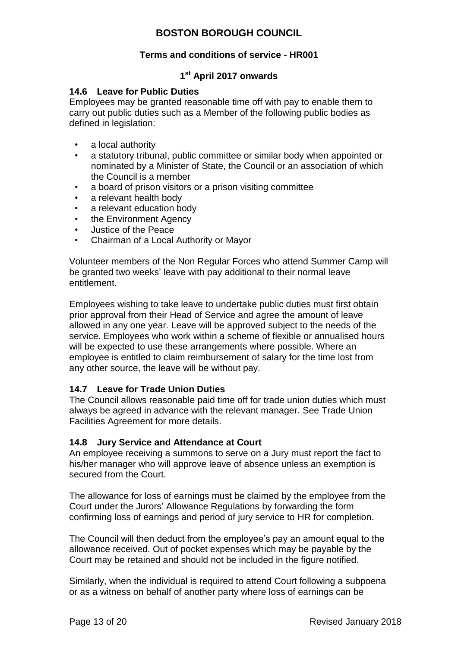### **Terms and conditions of service - HR001**

## **1 st April 2017 onwards**

#### **14.6 Leave for Public Duties**

Employees may be granted reasonable time off with pay to enable them to carry out public duties such as a Member of the following public bodies as defined in legislation:

- a local authority
- a statutory tribunal, public committee or similar body when appointed or nominated by a Minister of State, the Council or an association of which the Council is a member
- a board of prison visitors or a prison visiting committee
- a relevant health body
- a relevant education body
- the Environment Agency
- Justice of the Peace
- Chairman of a Local Authority or Mayor

Volunteer members of the Non Regular Forces who attend Summer Camp will be granted two weeks' leave with pay additional to their normal leave entitlement.

Employees wishing to take leave to undertake public duties must first obtain prior approval from their Head of Service and agree the amount of leave allowed in any one year. Leave will be approved subject to the needs of the service. Employees who work within a scheme of flexible or annualised hours will be expected to use these arrangements where possible. Where an employee is entitled to claim reimbursement of salary for the time lost from any other source, the leave will be without pay.

### **14.7 Leave for Trade Union Duties**

The Council allows reasonable paid time off for trade union duties which must always be agreed in advance with the relevant manager. See Trade Union Facilities Agreement for more details.

### **14.8 Jury Service and Attendance at Court**

An employee receiving a summons to serve on a Jury must report the fact to his/her manager who will approve leave of absence unless an exemption is secured from the Court.

The allowance for loss of earnings must be claimed by the employee from the Court under the Jurors' Allowance Regulations by forwarding the form confirming loss of earnings and period of jury service to HR for completion.

The Council will then deduct from the employee's pay an amount equal to the allowance received. Out of pocket expenses which may be payable by the Court may be retained and should not be included in the figure notified.

Similarly, when the individual is required to attend Court following a subpoena or as a witness on behalf of another party where loss of earnings can be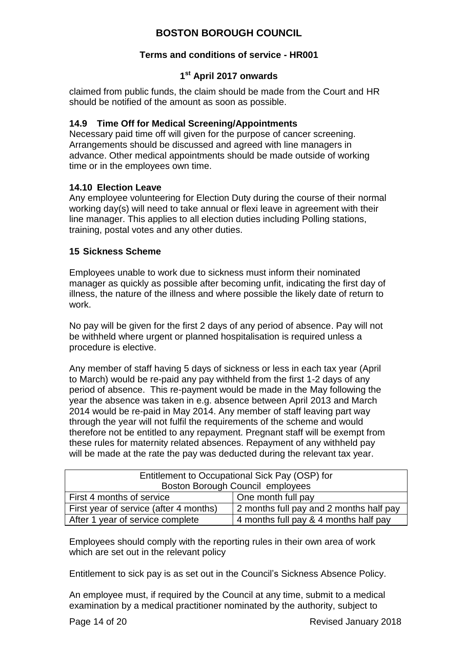### **Terms and conditions of service - HR001**

### **1 st April 2017 onwards**

claimed from public funds, the claim should be made from the Court and HR should be notified of the amount as soon as possible.

### **14.9 Time Off for Medical Screening/Appointments**

Necessary paid time off will given for the purpose of cancer screening. Arrangements should be discussed and agreed with line managers in advance. Other medical appointments should be made outside of working time or in the employees own time.

### **14.10 Election Leave**

Any employee volunteering for Election Duty during the course of their normal working day(s) will need to take annual or flexi leave in agreement with their line manager. This applies to all election duties including Polling stations, training, postal votes and any other duties.

#### <span id="page-13-0"></span>**15 Sickness Scheme**

Employees unable to work due to sickness must inform their nominated manager as quickly as possible after becoming unfit, indicating the first day of illness, the nature of the illness and where possible the likely date of return to work.

No pay will be given for the first 2 days of any period of absence. Pay will not be withheld where urgent or planned hospitalisation is required unless a procedure is elective.

Any member of staff having 5 days of sickness or less in each tax year (April to March) would be re-paid any pay withheld from the first 1-2 days of any period of absence. This re-payment would be made in the May following the year the absence was taken in e.g. absence between April 2013 and March 2014 would be re-paid in May 2014. Any member of staff leaving part way through the year will not fulfil the requirements of the scheme and would therefore not be entitled to any repayment. Pregnant staff will be exempt from these rules for maternity related absences. Repayment of any withheld pay will be made at the rate the pay was deducted during the relevant tax year.

| Entitlement to Occupational Sick Pay (OSP) for |                                         |  |
|------------------------------------------------|-----------------------------------------|--|
| Boston Borough Council employees               |                                         |  |
| First 4 months of service                      | One month full pay                      |  |
| First year of service (after 4 months)         | 2 months full pay and 2 months half pay |  |
| After 1 year of service complete               | 4 months full pay & 4 months half pay   |  |

Employees should comply with the reporting rules in their own area of work which are set out in the relevant policy

Entitlement to sick pay is as set out in the Council's Sickness Absence Policy.

An employee must, if required by the Council at any time, submit to a medical examination by a medical practitioner nominated by the authority, subject to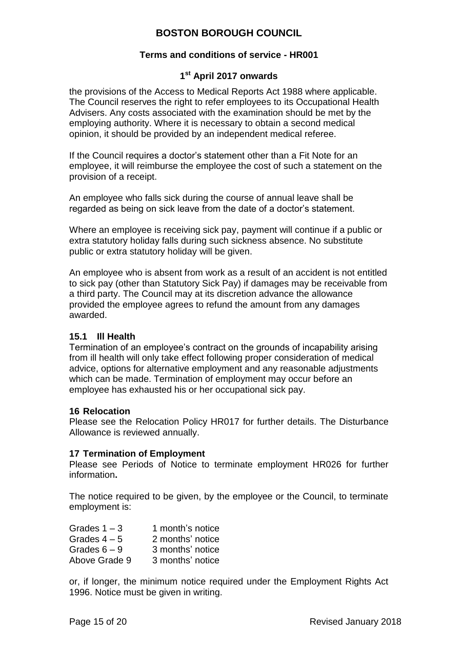### **Terms and conditions of service - HR001**

### **1 st April 2017 onwards**

the provisions of the Access to Medical Reports Act 1988 where applicable. The Council reserves the right to refer employees to its Occupational Health Advisers. Any costs associated with the examination should be met by the employing authority. Where it is necessary to obtain a second medical opinion, it should be provided by an independent medical referee.

If the Council requires a doctor's statement other than a Fit Note for an employee, it will reimburse the employee the cost of such a statement on the provision of a receipt.

An employee who falls sick during the course of annual leave shall be regarded as being on sick leave from the date of a doctor's statement.

Where an employee is receiving sick pay, payment will continue if a public or extra statutory holiday falls during such sickness absence. No substitute public or extra statutory holiday will be given.

An employee who is absent from work as a result of an accident is not entitled to sick pay (other than Statutory Sick Pay) if damages may be receivable from a third party. The Council may at its discretion advance the allowance provided the employee agrees to refund the amount from any damages awarded.

#### **15.1 Ill Health**

Termination of an employee's contract on the grounds of incapability arising from ill health will only take effect following proper consideration of medical advice, options for alternative employment and any reasonable adjustments which can be made. Termination of employment may occur before an employee has exhausted his or her occupational sick pay.

#### <span id="page-14-0"></span>**16 Relocation**

Please see the Relocation Policy HR017 for further details. The Disturbance Allowance is reviewed annually.

#### <span id="page-14-1"></span>**17 Termination of Employment**

Please see Periods of Notice to terminate employment HR026 for further information**.**

The notice required to be given, by the employee or the Council, to terminate employment is:

| Grades $1 - 3$ | 1 month's notice |
|----------------|------------------|
| Grades $4-5$   | 2 months' notice |
| Grades $6 - 9$ | 3 months' notice |
| Above Grade 9  | 3 months' notice |

or, if longer, the minimum notice required under the Employment Rights Act 1996. Notice must be given in writing.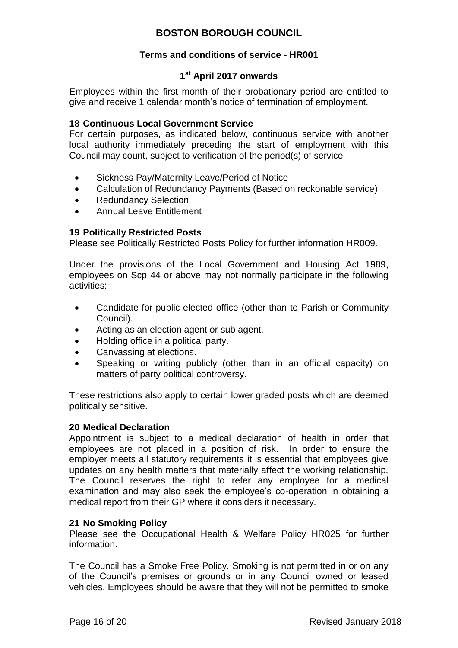#### **Terms and conditions of service - HR001**

### **1 st April 2017 onwards**

Employees within the first month of their probationary period are entitled to give and receive 1 calendar month's notice of termination of employment.

#### <span id="page-15-0"></span>**18 Continuous Local Government Service**

For certain purposes, as indicated below, continuous service with another local authority immediately preceding the start of employment with this Council may count, subject to verification of the period(s) of service

- Sickness Pay/Maternity Leave/Period of Notice
- Calculation of Redundancy Payments (Based on reckonable service)
- Redundancy Selection
- Annual Leave Entitlement

#### <span id="page-15-1"></span>**19 Politically Restricted Posts**

Please see Politically Restricted Posts Policy for further information HR009.

Under the provisions of the Local Government and Housing Act 1989, employees on Scp 44 or above may not normally participate in the following activities:

- Candidate for public elected office (other than to Parish or Community Council).
- Acting as an election agent or sub agent.
- Holding office in a political party.
- Canvassing at elections.
- Speaking or writing publicly (other than in an official capacity) on matters of party political controversy.

These restrictions also apply to certain lower graded posts which are deemed politically sensitive.

#### <span id="page-15-2"></span>**20 Medical Declaration**

Appointment is subject to a medical declaration of health in order that employees are not placed in a position of risk. In order to ensure the employer meets all statutory requirements it is essential that employees give updates on any health matters that materially affect the working relationship. The Council reserves the right to refer any employee for a medical examination and may also seek the employee's co-operation in obtaining a medical report from their GP where it considers it necessary.

#### <span id="page-15-3"></span>**21 No Smoking Policy**

Please see the Occupational Health & Welfare Policy HR025 for further information.

The Council has a Smoke Free Policy. Smoking is not permitted in or on any of the Council's premises or grounds or in any Council owned or leased vehicles. Employees should be aware that they will not be permitted to smoke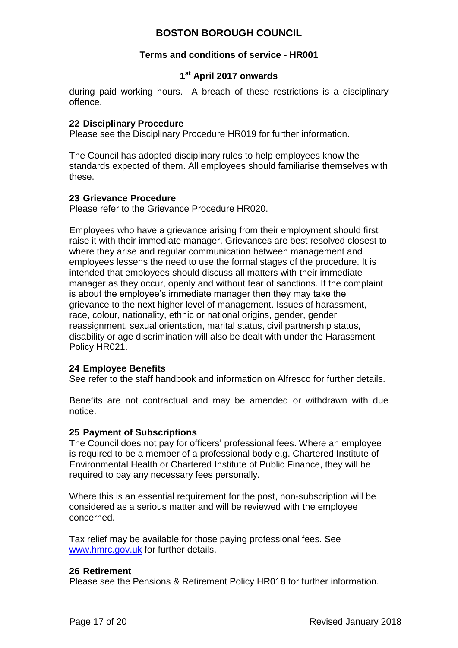#### **Terms and conditions of service - HR001**

### **1 st April 2017 onwards**

during paid working hours. A breach of these restrictions is a disciplinary offence.

#### <span id="page-16-0"></span>**22 Disciplinary Procedure**

Please see the Disciplinary Procedure HR019 for further information.

The Council has adopted disciplinary rules to help employees know the standards expected of them. All employees should familiarise themselves with these.

#### <span id="page-16-1"></span>**23 Grievance Procedure**

Please refer to the Grievance Procedure HR020.

Employees who have a grievance arising from their employment should first raise it with their immediate manager. Grievances are best resolved closest to where they arise and regular communication between management and employees lessens the need to use the formal stages of the procedure. It is intended that employees should discuss all matters with their immediate manager as they occur, openly and without fear of sanctions. If the complaint is about the employee's immediate manager then they may take the grievance to the next higher level of management. Issues of harassment, race, colour, nationality, ethnic or national origins, gender, gender reassignment, sexual orientation, marital status, civil partnership status*,*  disability or age discrimination will also be dealt with under the Harassment Policy HR021.

#### <span id="page-16-2"></span>**24 Employee Benefits**

See refer to the staff handbook and information on Alfresco for further details.

Benefits are not contractual and may be amended or withdrawn with due notice.

#### <span id="page-16-3"></span>**25 Payment of Subscriptions**

The Council does not pay for officers' professional fees. Where an employee is required to be a member of a professional body e.g. Chartered Institute of Environmental Health or Chartered Institute of Public Finance, they will be required to pay any necessary fees personally.

Where this is an essential requirement for the post, non-subscription will be considered as a serious matter and will be reviewed with the employee concerned.

Tax relief may be available for those paying professional fees. See [www.hmrc.gov.uk](http://www.hmrc.gov.uk/) for further details.

#### <span id="page-16-4"></span>**26 Retirement**

Please see the Pensions & Retirement Policy HR018 for further information.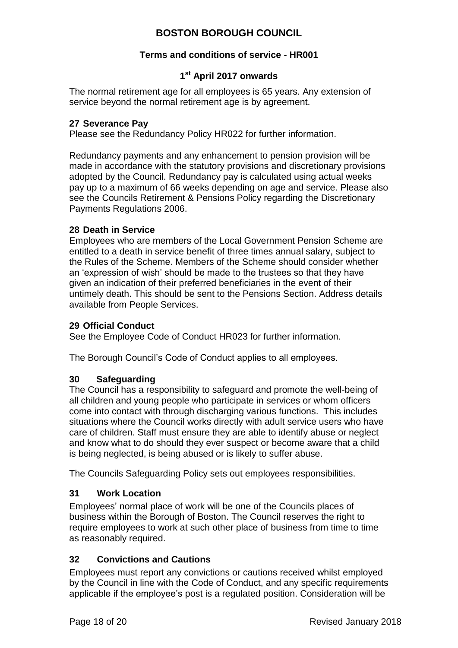### **Terms and conditions of service - HR001**

# **1 st April 2017 onwards**

The normal retirement age for all employees is 65 years. Any extension of service beyond the normal retirement age is by agreement.

### <span id="page-17-0"></span>**27 Severance Pay**

Please see the Redundancy Policy HR022 for further information.

Redundancy payments and any enhancement to pension provision will be made in accordance with the statutory provisions and discretionary provisions adopted by the Council. Redundancy pay is calculated using actual weeks pay up to a maximum of 66 weeks depending on age and service. Please also see the Councils Retirement & Pensions Policy regarding the Discretionary Payments Regulations 2006.

#### <span id="page-17-1"></span>**28 Death in Service**

Employees who are members of the Local Government Pension Scheme are entitled to a death in service benefit of three times annual salary, subject to the Rules of the Scheme. Members of the Scheme should consider whether an 'expression of wish' should be made to the trustees so that they have given an indication of their preferred beneficiaries in the event of their untimely death. This should be sent to the Pensions Section. Address details available from People Services.

#### <span id="page-17-2"></span>**29 Official Conduct**

See the Employee Code of Conduct HR023 for further information.

The Borough Council's Code of Conduct applies to all employees.

### <span id="page-17-3"></span>**30 Safeguarding**

The Council has a responsibility to safeguard and promote the well-being of all children and young people who participate in services or whom officers come into contact with through discharging various functions. This includes situations where the Council works directly with adult service users who have care of children. Staff must ensure they are able to identify abuse or neglect and know what to do should they ever suspect or become aware that a child is being neglected, is being abused or is likely to suffer abuse.

The Councils Safeguarding Policy sets out employees responsibilities.

### <span id="page-17-4"></span>**31 Work Location**

Employees' normal place of work will be one of the Councils places of business within the Borough of Boston. The Council reserves the right to require employees to work at such other place of business from time to time as reasonably required.

### <span id="page-17-5"></span>**32 Convictions and Cautions**

Employees must report any convictions or cautions received whilst employed by the Council in line with the Code of Conduct, and any specific requirements applicable if the employee's post is a regulated position. Consideration will be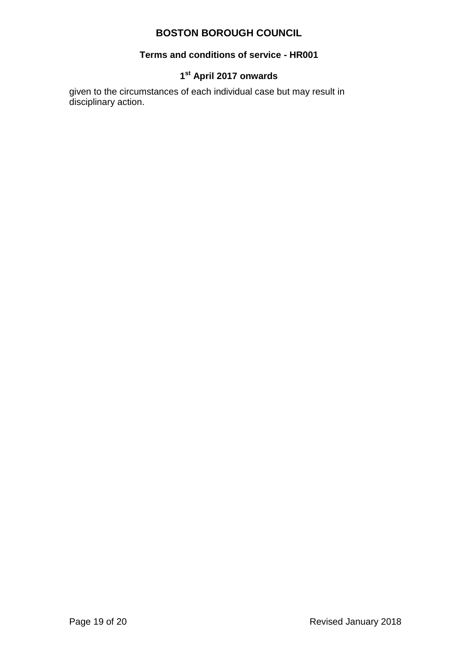#### **Terms and conditions of service - HR001**

### **1 st April 2017 onwards**

given to the circumstances of each individual case but may result in disciplinary action.